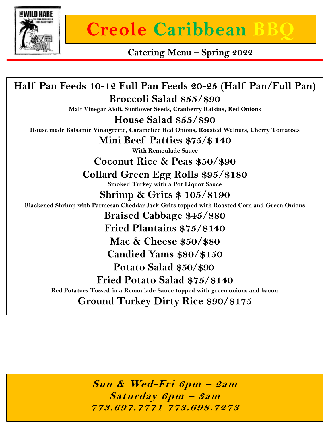

## **Creole Caribbean**

**Catering Menu – Spring 2022**

**Half Pan Feeds 10-12 Full Pan Feeds 20-25 (Half Pan/Full Pan) Broccoli Salad \$55/\$90 Malt Vinegar Aioli, Sunflower Seeds, Cranberry Raisins, Red Onions House Salad \$55/\$90 House made Balsamic Vinaigrette, Caramelize Red Onions, Roasted Walnuts, Cherry Tomatoes Mini Beef Patties \$75/\$ 140 With Remoulade Sauce Coconut Rice & Peas \$50/\$90 Collard Green Egg Rolls \$95/\$180 Smoked Turkey with a Pot Liquor Sauce Shrimp & Grits \$ 105/\$190 Blackened Shrimp with Parmesan Cheddar Jack Grits topped with Roasted Corn and Green Onions Braised Cabbage \$45/\$80 Fried Plantains \$75/\$140 Mac & Cheese \$50/\$80 Candied Yams \$80/\$150 Potato Salad \$50/\$90 Fried Potato Salad \$75/\$140 Red Potatoes Tossed in a Remoulade Sauce topped with green onions and bacon Ground Turkey Dirty Rice \$90/\$175**

> **Sun & Wed-Fri 6pm – 2am Saturday 6pm – 3am 773.697.7771 773.698.7273**